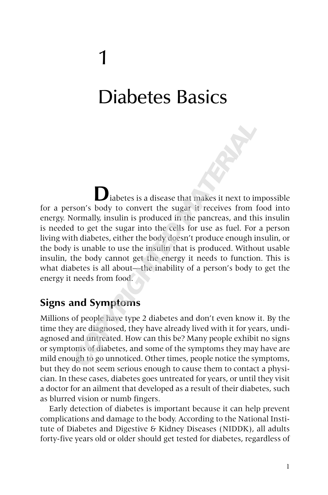1

# Diabetes Basics

**D**iabetes is a disease that makes it next to impossible for a person's body to convert the sugar it receives from food into energy. Normally, insulin is produced in the pancreas, and this insulin is needed to get the sugar into the cells for use as fuel. For a person living with diabetes, either the body doesn't produce enough insulin, or the body is unable to use the insulin that is produced. Without usable insulin, the body cannot get the energy it needs to function. This is what diabetes is all about—the inability of a person's body to get the energy it needs from food. *COPYRIGHTED MATERIAL*

### **Signs and Symptoms**

Millions of people have type 2 diabetes and don't even know it. By the time they are diagnosed, they have already lived with it for years, undiagnosed and untreated. How can this be? Many people exhibit no signs or symptoms of diabetes, and some of the symptoms they may have are mild enough to go unnoticed. Other times, people notice the symptoms, but they do not seem serious enough to cause them to contact a physician. In these cases, diabetes goes untreated for years, or until they visit a doctor for an ailment that developed as a result of their diabetes, such as blurred vision or numb fingers.

Early detection of diabetes is important because it can help prevent complications and damage to the body. According to the National Institute of Diabetes and Digestive & Kidney Diseases (NIDDK), all adults forty-five years old or older should get tested for diabetes, regardless of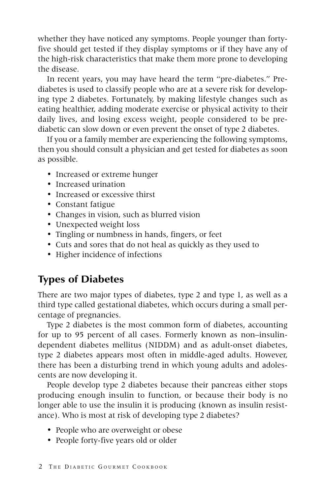whether they have noticed any symptoms. People younger than fortyfive should get tested if they display symptoms or if they have any of the high-risk characteristics that make them more prone to developing the disease.

In recent years, you may have heard the term "pre-diabetes." Prediabetes is used to classify people who are at a severe risk for developing type 2 diabetes. Fortunately, by making lifestyle changes such as eating healthier, adding moderate exercise or physical activity to their daily lives, and losing excess weight, people considered to be prediabetic can slow down or even prevent the onset of type 2 diabetes.

If you or a family member are experiencing the following symptoms, then you should consult a physician and get tested for diabetes as soon as possible.

- Increased or extreme hunger
- Increased urination
- Increased or excessive thirst
- Constant fatigue
- Changes in vision, such as blurred vision
- Unexpected weight loss
- Tingling or numbness in hands, fingers, or feet
- Cuts and sores that do not heal as quickly as they used to
- Higher incidence of infections

#### **Types of Diabetes**

There are two major types of diabetes, type 2 and type 1, as well as a third type called gestational diabetes, which occurs during a small percentage of pregnancies.

Type 2 diabetes is the most common form of diabetes, accounting for up to 95 percent of all cases. Formerly known as non–insulindependent diabetes mellitus (NIDDM) and as adult-onset diabetes, type 2 diabetes appears most often in middle-aged adults. However, there has been a disturbing trend in which young adults and adolescents are now developing it.

People develop type 2 diabetes because their pancreas either stops producing enough insulin to function, or because their body is no longer able to use the insulin it is producing (known as insulin resistance). Who is most at risk of developing type 2 diabetes?

- People who are overweight or obese
- People forty-five years old or older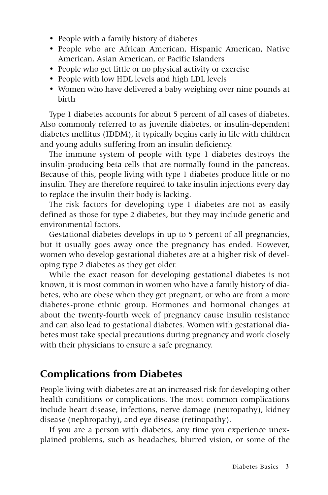- People with a family history of diabetes
- People who are African American, Hispanic American, Native American, Asian American, or Pacific Islanders
- People who get little or no physical activity or exercise
- People with low HDL levels and high LDL levels
- Women who have delivered a baby weighing over nine pounds at birth

Type 1 diabetes accounts for about 5 percent of all cases of diabetes. Also commonly referred to as juvenile diabetes, or insulin-dependent diabetes mellitus (IDDM), it typically begins early in life with children and young adults suffering from an insulin deficiency.

The immune system of people with type 1 diabetes destroys the insulin-producing beta cells that are normally found in the pancreas. Because of this, people living with type 1 diabetes produce little or no insulin. They are therefore required to take insulin injections every day to replace the insulin their body is lacking.

The risk factors for developing type 1 diabetes are not as easily defined as those for type 2 diabetes, but they may include genetic and environmental factors.

Gestational diabetes develops in up to 5 percent of all pregnancies, but it usually goes away once the pregnancy has ended. However, women who develop gestational diabetes are at a higher risk of developing type 2 diabetes as they get older.

While the exact reason for developing gestational diabetes is not known, it is most common in women who have a family history of diabetes, who are obese when they get pregnant, or who are from a more diabetes-prone ethnic group. Hormones and hormonal changes at about the twenty-fourth week of pregnancy cause insulin resistance and can also lead to gestational diabetes. Women with gestational diabetes must take special precautions during pregnancy and work closely with their physicians to ensure a safe pregnancy.

## **Complications from Diabetes**

People living with diabetes are at an increased risk for developing other health conditions or complications. The most common complications include heart disease, infections, nerve damage (neuropathy), kidney disease (nephropathy), and eye disease (retinopathy).

If you are a person with diabetes, any time you experience unexplained problems, such as headaches, blurred vision, or some of the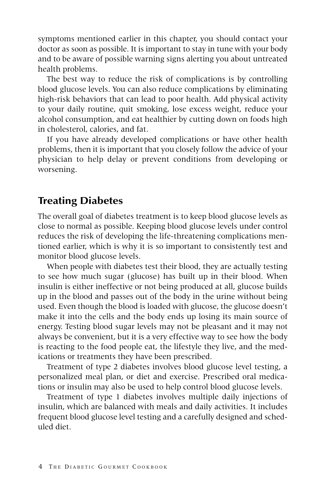symptoms mentioned earlier in this chapter, you should contact your doctor as soon as possible. It is important to stay in tune with your body and to be aware of possible warning signs alerting you about untreated health problems.

The best way to reduce the risk of complications is by controlling blood glucose levels. You can also reduce complications by eliminating high-risk behaviors that can lead to poor health. Add physical activity to your daily routine, quit smoking, lose excess weight, reduce your alcohol consumption, and eat healthier by cutting down on foods high in cholesterol, calories, and fat.

If you have already developed complications or have other health problems, then it is important that you closely follow the advice of your physician to help delay or prevent conditions from developing or worsening.

#### **Treating Diabetes**

The overall goal of diabetes treatment is to keep blood glucose levels as close to normal as possible. Keeping blood glucose levels under control reduces the risk of developing the life-threatening complications mentioned earlier, which is why it is so important to consistently test and monitor blood glucose levels.

When people with diabetes test their blood, they are actually testing to see how much sugar (glucose) has built up in their blood. When insulin is either ineffective or not being produced at all, glucose builds up in the blood and passes out of the body in the urine without being used. Even though the blood is loaded with glucose, the glucose doesn't make it into the cells and the body ends up losing its main source of energy. Testing blood sugar levels may not be pleasant and it may not always be convenient, but it is a very effective way to see how the body is reacting to the food people eat, the lifestyle they live, and the medications or treatments they have been prescribed.

Treatment of type 2 diabetes involves blood glucose level testing, a personalized meal plan, or diet and exercise. Prescribed oral medications or insulin may also be used to help control blood glucose levels.

Treatment of type 1 diabetes involves multiple daily injections of insulin, which are balanced with meals and daily activities. It includes frequent blood glucose level testing and a carefully designed and scheduled diet.